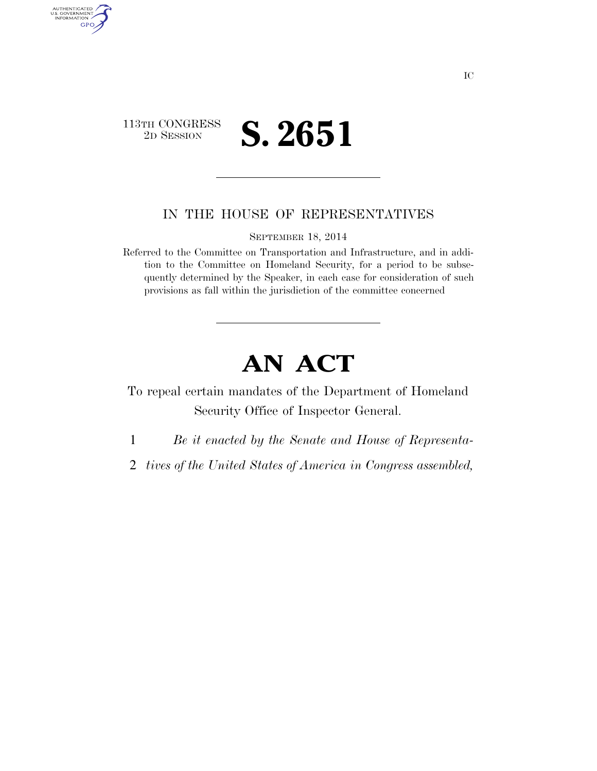

AUTHENTICATED<br>U.S. GOVERNMENT<br>INFORMATION

GPO

## IN THE HOUSE OF REPRESENTATIVES

SEPTEMBER 18, 2014

Referred to the Committee on Transportation and Infrastructure, and in addition to the Committee on Homeland Security, for a period to be subsequently determined by the Speaker, in each case for consideration of such provisions as fall within the jurisdiction of the committee concerned

## **AN ACT**

To repeal certain mandates of the Department of Homeland Security Office of Inspector General.

1 *Be it enacted by the Senate and House of Representa-*

2 *tives of the United States of America in Congress assembled,*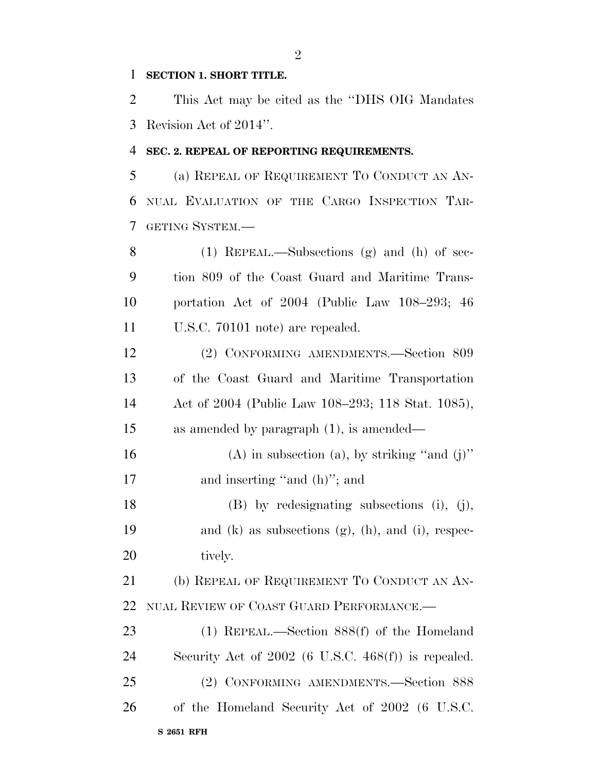## **SECTION 1. SHORT TITLE.**

 This Act may be cited as the ''DHS OIG Mandates Revision Act of 2014''.

## **SEC. 2. REPEAL OF REPORTING REQUIREMENTS.**

 (a) REPEAL OF REQUIREMENT TO CONDUCT AN AN- NUAL EVALUATION OF THE CARGO INSPECTION TAR-GETING SYSTEM.—

 (1) REPEAL.—Subsections (g) and (h) of sec- tion 809 of the Coast Guard and Maritime Trans- portation Act of 2004 (Public Law 108–293; 46 U.S.C. 70101 note) are repealed.

 (2) CONFORMING AMENDMENTS.—Section 809 of the Coast Guard and Maritime Transportation Act of 2004 (Public Law 108–293; 118 Stat. 1085), as amended by paragraph (1), is amended—

16 (A) in subsection (a), by striking "and  $(j)$ " 17 and inserting "and (h)"; and

 (B) by redesignating subsections (i), (j), and (k) as subsections (g), (h), and (i), respec-20 tively.

21 (b) REPEAL OF REQUIREMENT TO CONDUCT AN AN-NUAL REVIEW OF COAST GUARD PERFORMANCE.—

**S 2651 RFH**  (1) REPEAL.—Section 888(f) of the Homeland Security Act of 2002 (6 U.S.C. 468(f)) is repealed. (2) CONFORMING AMENDMENTS.—Section 888 of the Homeland Security Act of 2002 (6 U.S.C.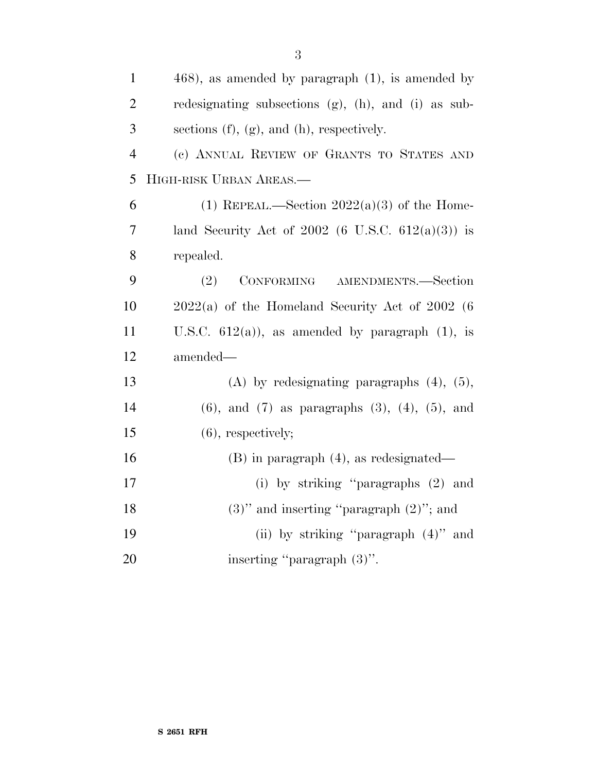| $\mathbf{1}$   | $(468)$ , as amended by paragraph $(1)$ , is amended by     |
|----------------|-------------------------------------------------------------|
| $\overline{2}$ | redesignating subsections $(g)$ , $(h)$ , and $(i)$ as sub- |
| 3              | sections $(f)$ , $(g)$ , and $(h)$ , respectively.          |
| $\overline{4}$ | (c) ANNUAL REVIEW OF GRANTS TO STATES AND                   |
| 5              | HIGH-RISK URBAN AREAS.                                      |
| 6              | (1) REPEAL.—Section $2022(a)(3)$ of the Home-               |
| 7              | land Security Act of 2002 (6 U.S.C. $612(a)(3)$ ) is        |
| 8              | repealed.                                                   |
| 9              | (2)<br>CONFORMING AMENDMENTS.-Section                       |
| 10             | $2022(a)$ of the Homeland Security Act of 2002 (6           |
| 11             | U.S.C. $612(a)$ , as amended by paragraph $(1)$ , is        |
| 12             | amended—                                                    |
| 13             | (A) by redesignating paragraphs $(4)$ , $(5)$ ,             |
| 14             | $(6)$ , and $(7)$ as paragraphs $(3)$ , $(4)$ , $(5)$ , and |
| 15             | $(6)$ , respectively;                                       |
| 16             | $(B)$ in paragraph $(4)$ , as redesignated—                 |
| 17             | (i) by striking "paragraphs (2) and                         |
| 18             | $(3)$ " and inserting "paragraph $(2)$ "; and               |
| 19             | (ii) by striking "paragraph $(4)$ " and                     |
| 20             | inserting "paragraph (3)".                                  |